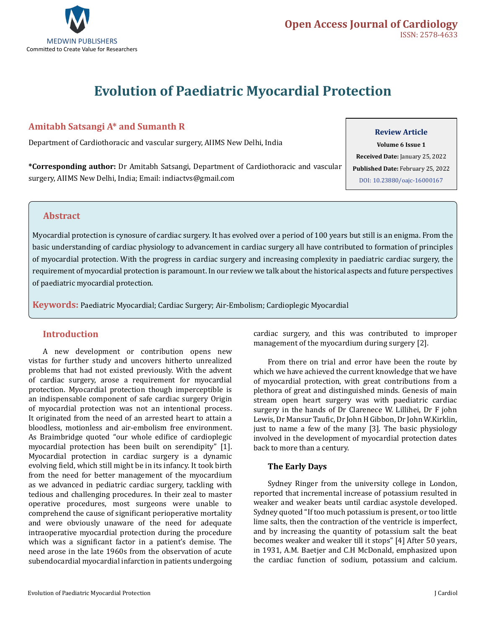

# **Evolution of Paediatric Myocardial Protection**

## **Amitabh Satsangi A\* and Sumanth R**

Department of Cardiothoracic and vascular surgery, AIIMS New Delhi, India

**\*Corresponding author:** Dr Amitabh Satsangi, Department of Cardiothoracic and vascular surgery, AIIMS New Delhi, India; Email: indiactvs@gmail.com

#### **Review Article**

**Volume 6 Issue 1 Received Date:** January 25, 2022 **Published Date:** February 25, 2022 [DOI: 10.23880/oajc-16000167](https://doi.org/10.23880/oajc-16000167)

### **Abstract**

Myocardial protection is cynosure of cardiac surgery. It has evolved over a period of 100 years but still is an enigma. From the basic understanding of cardiac physiology to advancement in cardiac surgery all have contributed to formation of principles of myocardial protection. With the progress in cardiac surgery and increasing complexity in paediatric cardiac surgery, the requirement of myocardial protection is paramount. In our review we talk about the historical aspects and future perspectives of paediatric myocardial protection.

**Keywords:** Paediatric Myocardial; Cardiac Surgery; Air-Embolism; Cardioplegic Myocardial

#### **Introduction**

A new development or contribution opens new vistas for further study and uncovers hitherto unrealized problems that had not existed previously. With the advent of cardiac surgery, arose a requirement for myocardial protection. Myocardial protection though imperceptible is an indispensable component of safe cardiac surgery Origin of myocardial protection was not an intentional process. It originated from the need of an arrested heart to attain a bloodless, motionless and air-embolism free environment. As Braimbridge quoted "our whole edifice of cardioplegic myocardial protection has been built on serendipity" [1]. Myocardial protection in cardiac surgery is a dynamic evolving field, which still might be in its infancy. It took birth from the need for better management of the myocardium as we advanced in pediatric cardiac surgery, tackling with tedious and challenging procedures. In their zeal to master operative procedures, most surgeons were unable to comprehend the cause of significant perioperative mortality and were obviously unaware of the need for adequate intraoperative myocardial protection during the procedure which was a significant factor in a patient's demise. The need arose in the late 1960s from the observation of acute subendocardial myocardial infarction in patients undergoing

cardiac surgery, and this was contributed to improper management of the myocardium during surgery [2].

From there on trial and error have been the route by which we have achieved the current knowledge that we have of myocardial protection, with great contributions from a plethora of great and distinguished minds. Genesis of main stream open heart surgery was with paediatric cardiac surgery in the hands of Dr Clarenece W. Lillihei, Dr F john Lewis, Dr Mansur Taufic, Dr John H Gibbon, Dr John W.Kirklin, just to name a few of the many [3]. The basic physiology involved in the development of myocardial protection dates back to more than a century.

#### **The Early Days**

Sydney Ringer from the university college in London, reported that incremental increase of potassium resulted in weaker and weaker beats until cardiac asystole developed. Sydney quoted "If too much potassium is present, or too little lime salts, then the contraction of the ventricle is imperfect, and by increasing the quantity of potassium salt the beat becomes weaker and weaker till it stops" [4] After 50 years, in 1931, A.M. Baetjer and C.H McDonald, emphasized upon the cardiac function of sodium, potassium and calcium.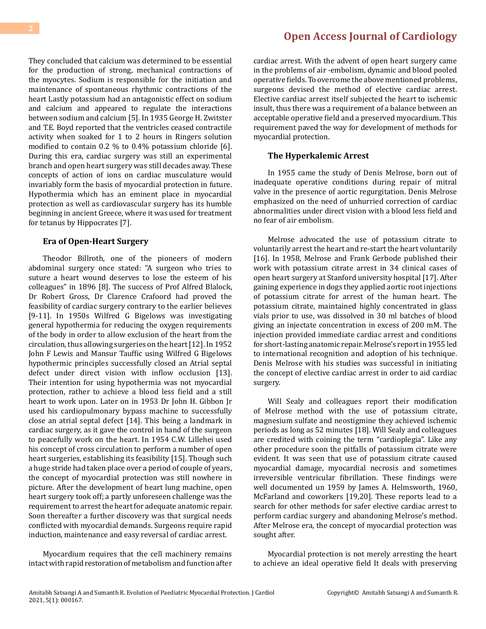They concluded that calcium was determined to be essential for the production of strong, mechanical contractions of the myocytes. Sodium is responsible for the initiation and maintenance of spontaneous rhythmic contractions of the heart Lastly potassium had an antagonistic effect on sodium and calcium and appeared to regulate the interactions between sodium and calcium [5]. In 1935 George H. Zwitster and T.E. Boyd reported that the ventricles ceased contractile activity when soaked for 1 to 2 hours in Ringers solution modified to contain 0.2 % to 0.4% potassium chloride [6]. During this era, cardiac surgery was still an experimental branch and open heart surgery was still decades away. These concepts of action of ions on cardiac musculature would invariably form the basis of myocardial protection in future. Hypothermia which has an eminent place in myocardial protection as well as cardiovascular surgery has its humble beginning in ancient Greece, where it was used for treatment for tetanus by Hippocrates [7].

#### **Era of Open-Heart Surgery**

Theodor Billroth, one of the pioneers of modern abdominal surgery once stated: "A surgeon who tries to suture a heart wound deserves to lose the esteem of his colleagues" in 1896 [8]. The success of Prof Alfred Blalock, Dr Robert Gross, Dr Clarence Crafoord had proved the feasibility of cardiac surgery contrary to the earlier believes [9-11]. In 1950s Wilfred G Bigelows was investigating general hypothermia for reducing the oxygen requirements of the body in order to allow exclusion of the heart from the circulation, thus allowing surgeries on the heart [12]. In 1952 John F Lewis and Mansur Tauffic using Wilfred G Bigelows hypothermic principles successfully closed an Atrial septal defect under direct vision with inflow occlusion [13]. Their intention for using hypothermia was not myocardial protection, rather to achieve a blood less field and a still heart to work upon. Later on in 1953 Dr John H. Gibbon Jr used his cardiopulmonary bypass machine to successfully close an atrial septal defect [14]. This being a landmark in cardiac surgery, as it gave the control in hand of the surgeon to peacefully work on the heart. In 1954 C.W. Lillehei used his concept of cross circulation to perform a number of open heart surgeries, establishing its feasibility [15]. Though such a huge stride had taken place over a period of couple of years, the concept of myocardial protection was still nowhere in picture. After the development of heart lung machine, open heart surgery took off; a partly unforeseen challenge was the requirement to arrest the heart for adequate anatomic repair. Soon thereafter a further discovery was that surgical needs conflicted with myocardial demands. Surgeons require rapid induction, maintenance and easy reversal of cardiac arrest.

Myocardium requires that the cell machinery remains intact with rapid restoration of metabolism and function after

cardiac arrest. With the advent of open heart surgery came in the problems of air -embolism, dynamic and blood pooled operative fields. To overcome the above mentioned problems, surgeons devised the method of elective cardiac arrest. Elective cardiac arrest itself subjected the heart to ischemic insult, thus there was a requirement of a balance between an acceptable operative field and a preserved myocardium. This requirement paved the way for development of methods for myocardial protection.

#### **The Hyperkalemic Arrest**

In 1955 came the study of Denis Melrose, born out of inadequate operative conditions during repair of mitral valve in the presence of aortic regurgitation. Denis Melrose emphasized on the need of unhurried correction of cardiac abnormalities under direct vision with a blood less field and no fear of air embolism.

Melrose advocated the use of potassium citrate to voluntarily arrest the heart and re-start the heart voluntarily [16]. In 1958, Melrose and Frank Gerbode published their work with potassium citrate arrest in 34 clinical cases of open heart surgery at Stanford university hospital [17]. After gaining experience in dogs they applied aortic root injections of potassium citrate for arrest of the human heart. The potassium citrate, maintained highly concentrated in glass vials prior to use, was dissolved in 30 ml batches of blood giving an injectate concentration in excess of 200 mM. The injection provided immediate cardiac arrest and conditions for short-lasting anatomic repair. Melrose's report in 1955 led to international recognition and adoption of his technique. Denis Melrose with his studies was successful in initiating the concept of elective cardiac arrest in order to aid cardiac surgery.

Will Sealy and colleagues report their modification of Melrose method with the use of potassium citrate, magnesium sulfate and neostigmine they achieved ischemic periods as long as 52 minutes [18]. Will Sealy and colleagues are credited with coining the term "cardioplegia". Like any other procedure soon the pitfalls of potassium citrate were evident. It was seen that use of potassium citrate caused myocardial damage, myocardial necrosis and sometimes irreversible ventricular fibrillation. These findings were well documented un 1959 by James A. Helmsworth, 1960, McFarland and coworkers [19,20]. These reports lead to a search for other methods for safer elective cardiac arrest to perform cardiac surgery and abandoning Melrose's method. After Melrose era, the concept of myocardial protection was sought after.

Myocardial protection is not merely arresting the heart to achieve an ideal operative field It deals with preserving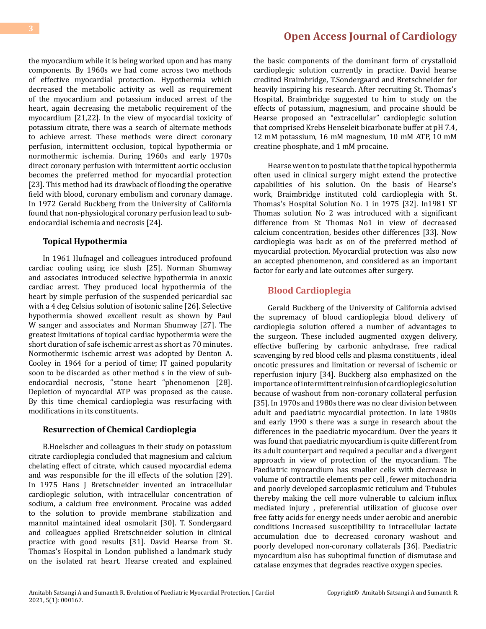the myocardium while it is being worked upon and has many components. By 1960s we had come across two methods of effective myocardial protection. Hypothermia which decreased the metabolic activity as well as requirement of the myocardium and potassium induced arrest of the heart, again decreasing the metabolic requirement of the myocardium [21,22]. In the view of myocardial toxicity of potassium citrate, there was a search of alternate methods to achieve arrest. These methods were direct coronary perfusion, intermittent occlusion, topical hypothermia or normothermic ischemia. During 1960s and early 1970s direct coronary perfusion with intermittent aortic occlusion becomes the preferred method for myocardial protection [23]. This method had its drawback of flooding the operative field with blood, coronary embolism and coronary damage. In 1972 Gerald Buckberg from the University of California found that non-physiological coronary perfusion lead to subendocardial ischemia and necrosis [24].

#### **Topical Hypothermia**

In 1961 Hufnagel and colleagues introduced profound cardiac cooling using ice slush [25]. Norman Shumway and associates introduced selective hypothermia in anoxic cardiac arrest. They produced local hypothermia of the heart by simple perfusion of the suspended pericardial sac with a 4 deg Celsius solution of isotonic saline [26]. Selective hypothermia showed excellent result as shown by Paul W sanger and associates and Norman Shumway [27]. The greatest limitations of topical cardiac hypothermia were the short duration of safe ischemic arrest as short as 70 minutes. Normothermic ischemic arrest was adopted by Denton A. Cooley in 1964 for a period of time; IT gained popularity soon to be discarded as other method s in the view of subendocardial necrosis, "stone heart "phenomenon [28]. Depletion of myocardial ATP was proposed as the cause. By this time chemical cardioplegia was resurfacing with modifications in its constituents.

#### **Resurrection of Chemical Cardioplegia**

B.Hoelscher and colleagues in their study on potassium citrate cardioplegia concluded that magnesium and calcium chelating effect of citrate, which caused myocardial edema and was responsible for the ill effects of the solution [29]. In 1975 Hans J Bretschneider invented an intracellular cardioplegic solution, with intracellular concentration of sodium, a calcium free environment. Procaine was added to the solution to provide membrane stabilization and mannitol maintained ideal osmolarit [30]. T. Sondergaard and colleagues applied Bretschneider solution in clinical practice with good results [31]. David Hearse from St. Thomas's Hospital in London published a landmark study on the isolated rat heart. Hearse created and explained the basic components of the dominant form of crystalloid cardioplegic solution currently in practice. David hearse credited Braimbridge, T.Sondergaard and Bretschneider for heavily inspiring his research. After recruiting St. Thomas's Hospital, Braimbridge suggested to him to study on the effects of potassium, magnesium, and procaine should be Hearse proposed an "extracellular" cardioplegic solution that comprised Krebs Henseleit bicarbonate buffer at pH 7.4, 12 mM potassium, 16 mM magnesium, 10 mM ATP, 10 mM creatine phosphate, and 1 mM procaine.

Hearse went on to postulate that the topical hypothermia often used in clinical surgery might extend the protective capabilities of his solution. On the basis of Hearse's work, Braimbridge instituted cold cardioplegia with St. Thomas's Hospital Solution No. 1 in 1975 [32]. In1981 ST Thomas solution No 2 was introduced with a significant difference from St Thomas No1 in view of decreased calcium concentration, besides other differences [33]. Now cardioplegia was back as on of the preferred method of myocardial protection. Myocardial protection was also now an accepted phenomenon, and considered as an important factor for early and late outcomes after surgery.

#### **Blood Cardioplegia**

Gerald Buckberg of the University of California advised the supremacy of blood cardioplegia blood delivery of cardioplegia solution offered a number of advantages to the surgeon. These included augmented oxygen delivery, effective buffering by carbonic anhydrase, free radical scavenging by red blood cells and plasma constituents , ideal oncotic pressures and limitation or reversal of ischemic or reperfusion injury [34]. Buckberg also emphasized on the importance of intermittent reinfusion of cardioplegic solution because of washout from non-coronary collateral perfusion [35]. In 1970s and 1980s there was no clear division between adult and paediatric myocardial protection. In late 1980s and early 1990 s there was a surge in research about the differences in the paediatric myocardium. Over the years it was found that paediatric myocardium is quite different from its adult counterpart and required a peculiar and a divergent approach in view of protection of the myocardium. The Paediatric myocardium has smaller cells with decrease in volume of contractile elements per cell , fewer mitochondria and poorly developed sarcoplasmic reticulum and T-tubules thereby making the cell more vulnerable to calcium influx mediated injury , preferential utilization of glucose over free fatty acids for energy needs under aerobic and anerobic conditions Increased susceptibility to intracellular lactate accumulation due to decreased coronary washout and poorly developed non-coronary collaterals [36]. Paediatric myocardium also has suboptimal function of dismutase and catalase enzymes that degrades reactive oxygen species.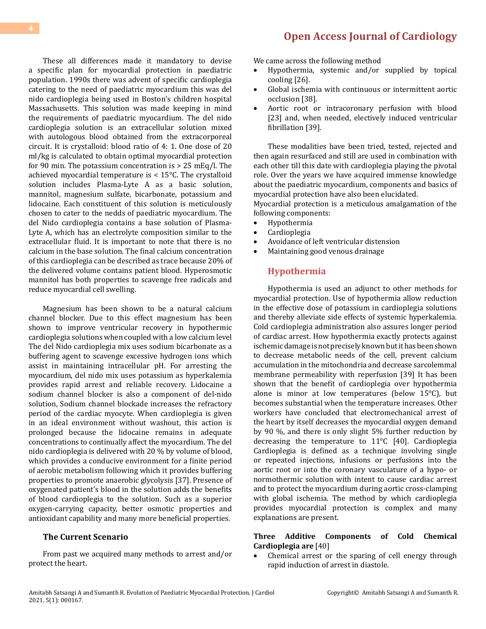These all differences made it mandatory to devise a specific plan for myocardial protection in paediatric population. 1990s there was advent of specific cardioplegia catering to the need of paediatric myocardium this was del nido cardioplegia being used in Boston's children hospital Massachusetts. This solution was made keeping in mind the requirements of paediatric myocardium. The del nido cardioplegia solution is an extracellular solution mixed with autologous blood obtained from the extracorporeal circuit. It is crystalloid: blood ratio of 4: 1. One dose of 20 ml/kg is calculated to obtain optimal myocardial protection for 90 min. The potassium concentration is > 25 mEq/l. The achieved myocardial temperature is < 15°C. The crystalloid solution includes Plasma-Lyte A as a basic solution, mannitol, magnesium sulfate, bicarbonate, potassium and lidocaine. Each constituent of this solution is meticulously chosen to cater to the nedds of paediatric myocardium. The del Nido cardioplegia contains a base solution of Plasma-Lyte A, which has an electrolyte composition similar to the extracellular fluid. It is important to note that there is no calcium in the base solution. The final calcium concentration of this cardioplegia can be described as trace because 20% of the delivered volume contains patient blood. Hyperosmotic mannitol has both properties to scavenge free radicals and reduce myocardial cell swelling.

Magnesium has been shown to be a natural calcium channel blocker. Due to this effect magnesium has been shown to improve ventricular recovery in hypothermic cardioplegia solutions when coupled with a low calcium level The del Nido cardioplegia mix uses sodium bicarbonate as a buffering agent to scavenge excessive hydrogen ions which assist in maintaining intracellular pH. For arresting the myocardium, del nido mix uses potassium as hyperkalemia provides rapid arrest and reliable recovery. Lidocaine a sodium channel blocker is also a component of del-nido solution, Sodium channel blockade increases the refractory period of the cardiac myocyte. When cardioplegia is given in an ideal environment without washout, this action is prolonged because the lidocaine remains in adequate concentrations to continually affect the myocardium. The del nido cardioplegia is delivered with 20 % by volume of blood, which provides a conducive environment for a finite period of aerobic metabolism following which it provides buffering properties to promote anaerobic glycolysis [37]. Presence of oxygenated patient's blood in the solution adds the benefits of blood cardioplegia to the solution. Such as a superior oxygen-carrying capacity, better osmotic properties and antioxidant capability and many more beneficial properties.

#### **The Current Scenario**

From past we acquired many methods to arrest and/or protect the heart.

We came across the following method

- Hypothermia, systemic and/or supplied by topical cooling [26].
- Global ischemia with continuous or intermittent aortic occlusion [38].
- • Aortic root or intracoronary perfusion with blood [23] and, when needed, electively induced ventricular fibrillation [39].

These modalities have been tried, tested, rejected and then again resurfaced and still are used in combination with each other till this date with cardioplegia playing the pivotal role. Over the years we have acquired immense knowledge about the paediatric myocardium, components and basics of myocardial protection have also been elucidated.

Myocardial protection is a meticulous amalgamation of the following components:<br>• Hypothermia

- **Hypothermia**
- **Cardioplegia**
- Avoidance of left ventricular distension
- Maintaining good venous drainage

#### **Hypothermia**

Hypothermia is used an adjunct to other methods for myocardial protection. Use of hypothermia allow reduction in the effective dose of potassium in cardioplegia solutions and thereby alleviate side effects of systemic hyperkalemia. Cold cardioplegia administration also assures longer period of cardiac arrest. How hypothermia exactly protects against ischemic damage is not precisely known but it has been shown to decrease metabolic needs of the cell, prevent calcium accumulation in the mitochondria and decrease sarcolemmal membrane permeability with reperfusion [39] It has been shown that the benefit of cardioplegia over hypothermia alone is minor at low temperatures (below 15°C), but becomes substantial when the temperature increases. Other workers have concluded that electromechanical arrest of the heart by itself decreases the myocardial oxygen demand by 90 %, and there is only slight 5% further reduction by decreasing the temperature to 11°C [40]. Cardioplegia Cardioplegia is defined as a technique involving single or repeated injections, infusions or perfusions into the aortic root or into the coronary vasculature of a hypo- or normothermic solution with intent to cause cardiac arrest and to protect the myocardium during aortic cross-clamping with global ischemia. The method by which cardioplegia provides myocardial protection is complex and many explanations are present.

#### **Three Additive Components of Cold Chemical Cardioplegia are** [40]

Chemical arrest or the sparing of cell energy through rapid induction of arrest in diastole.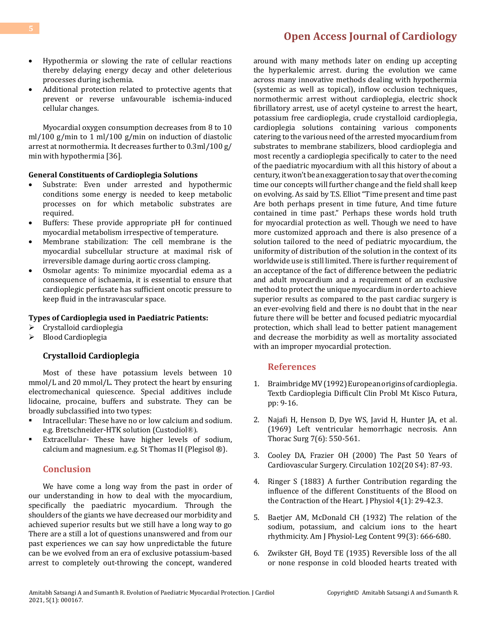- Hypothermia or slowing the rate of cellular reactions thereby delaying energy decay and other deleterious processes during ischemia.
- • Additional protection related to protective agents that prevent or reverse unfavourable ischemia-induced cellular changes.

Myocardial oxygen consumption decreases from 8 to 10 ml/100 g/min to 1 ml/100 g/min on induction of diastolic arrest at normothermia. It decreases further to 0.3ml/100 g/ min with hypothermia [36].

## **General Constituents of Cardioplegia Solutions**

- • Substrate: Even under arrested and hypothermic conditions some energy is needed to keep metabolic processes on for which metabolic substrates are required.
- • Buffers: These provide appropriate pH for continued myocardial metabolism irrespective of temperature.
- Membrane stabilization: The cell membrane is the myocardial subcellular structure at maximal risk of irreversible damage during aortic cross clamping.
- Osmolar agents: To minimize myocardial edema as a consequence of ischaemia, it is essential to ensure that cardioplegic perfusate has sufficient oncotic pressure to keep fluid in the intravascular space.

#### **Types of Cardioplegia used in Paediatric Patients:**

- $\triangleright$  Crystalloid cardioplegia
- $\triangleright$  Blood Cardioplegia

## **Crystalloid Cardioplegia**

Most of these have potassium levels between 10 mmol/L and 20 mmol/L. They protect the heart by ensuring electromechanical quiescence. Special additives include lidocaine, procaine, buffers and substrate. They can be broadly subclassified into two types:<br>Intracellular: These have no or lo

- Intracellular: These have no or low calcium and sodium. e.g. Bretschneider-HTK solution (Custodiol®).
- **Extracellular-** These have higher levels of sodium, calcium and magnesium. e.g. St Thomas II (Plegisol ®).

## **Conclusion**

We have come a long way from the past in order of our understanding in how to deal with the myocardium, specifically the paediatric myocardium. Through the shoulders of the giants we have decreased our morbidity and achieved superior results but we still have a long way to go There are a still a lot of questions unanswered and from our past experiences we can say how unpredictable the future can be we evolved from an era of exclusive potassium-based arrest to completely out-throwing the concept, wandered

around with many methods later on ending up accepting the hyperkalemic arrest. during the evolution we came across many innovative methods dealing with hypothermia (systemic as well as topical), inflow occlusion techniques, normothermic arrest without cardioplegia, electric shock fibrillatory arrest, use of acetyl cysteine to arrest the heart, potassium free cardioplegia, crude crystalloid cardioplegia, cardioplegia solutions containing various components catering to the various need of the arrested myocardium from substrates to membrane stabilizers, blood cardioplegia and most recently a cardioplegia specifically to cater to the need of the paediatric myocardium with all this history of about a century, it won't be an exaggeration to say that over the coming time our concepts will further change and the field shall keep on evolving. As said by T.S. Elliot "Time present and time past Are both perhaps present in time future, And time future contained in time past." Perhaps these words hold truth for myocardial protection as well. Though we need to have more customized approach and there is also presence of a solution tailored to the need of pediatric myocardium, the uniformity of distribution of the solution in the context of its worldwide use is still limited. There is further requirement of an acceptance of the fact of difference between the pediatric and adult myocardium and a requirement of an exclusive method to protect the unique myocardium in order to achieve superior results as compared to the past cardiac surgery is an ever-evolving field and there is no doubt that in the near future there will be better and focused pediatric myocardial protection, which shall lead to better patient management and decrease the morbidity as well as mortality associated with an improper myocardial protection.

## **References**

- 1. Braimbridge MV (1992) European origins of cardioplegia. Textb Cardioplegia Difficult Clin Probl Mt Kisco Futura, pp: 9-16.
- 2. [Najafi H, Henson D, Dye WS, Javid H, Hunter JA, et al.](https://pubmed.ncbi.nlm.nih.gov/4239601/)  [\(1969\) Left ventricular hemorrhagic necrosis. Ann](https://pubmed.ncbi.nlm.nih.gov/4239601/) [Thorac Surg 7\(6\): 550-561.](https://pubmed.ncbi.nlm.nih.gov/4239601/)
- 3. [Cooley DA, Frazier OH \(2000\) The Past 50 Years of](https://pubmed.ncbi.nlm.nih.gov/11080137/) [Cardiovascular Surgery. Circulation 102\(20 S4\): 87-93.](https://pubmed.ncbi.nlm.nih.gov/11080137/)
- 4. [Ringer S \(1883\) A further Contribution regarding the](https://pubmed.ncbi.nlm.nih.gov/16991336/)  [influence of the different Constituents of the Blood on](https://pubmed.ncbi.nlm.nih.gov/16991336/) [the Contraction of the Heart. J Physiol 4\(1\): 29-42.3.](https://pubmed.ncbi.nlm.nih.gov/16991336/)
- 5. Baetjer AM, McDonald CH (1932) The relation of the sodium, potassium, and calcium ions to the heart rhythmicity. Am J Physiol-Leg Content 99(3): 666-680.
- 6. [Zwikster GH, Boyd TE \(1935\) Reversible loss of the all](https://journals.physiology.org/doi/abs/10.1152/ajplegacy.1935.113.3.560)  [or none response in cold blooded hearts treated with](https://journals.physiology.org/doi/abs/10.1152/ajplegacy.1935.113.3.560)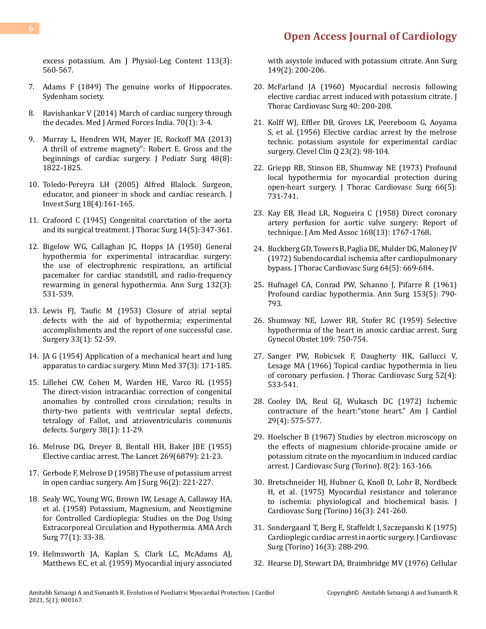[excess potassium. Am J Physiol-Leg Content 113\(3\):](https://journals.physiology.org/doi/abs/10.1152/ajplegacy.1935.113.3.560) [560-567.](https://journals.physiology.org/doi/abs/10.1152/ajplegacy.1935.113.3.560)

- 7. Adams F (1849) The genuine works of Hippocrates. Sydenham society.
- 8. [Ravishankar V \(2014\) March of cardiac surgery through](https://pubmed.ncbi.nlm.nih.gov/24623938/) [the decades. Med J Armed Forces India. 70\(1\): 3-4.](https://pubmed.ncbi.nlm.nih.gov/24623938/)
- 9. [Murray L, Hendren WH, Mayer JE, Rockoff MA \(2013\)](https://pubmed.ncbi.nlm.nih.gov/23932630/) [A thrill of extreme magnety": Robert E. Gross and the](https://pubmed.ncbi.nlm.nih.gov/23932630/) [beginnings of cardiac surgery. J Pediatr Surg 48\(8\):](https://pubmed.ncbi.nlm.nih.gov/23932630/) [1822-1825.](https://pubmed.ncbi.nlm.nih.gov/23932630/)
- 10. [Toledo-Pereyra LH \(2005\) Alfred Blalock. Surgeon,](https://pubmed.ncbi.nlm.nih.gov/16126626/) [educator, and pioneer in shock and cardiac research. J](https://pubmed.ncbi.nlm.nih.gov/16126626/) [Invest Surg 18\(4\):161-165.](https://pubmed.ncbi.nlm.nih.gov/16126626/)
- 11. [Crafoord C \(1945\) Congenital coarctation of the aorta](https://www.sciencedirect.com/science/article/pii/S0096558820318018) [and its surgical treatment. J Thorac Surg 14\(5\): 347-361.](https://www.sciencedirect.com/science/article/pii/S0096558820318018)
- 12. [Bigelow WG, Callaghan JC, Hopps JA \(1950\) General](https://pubmed.ncbi.nlm.nih.gov/15433219/) [hypothermia for experimental intracardiac surgery:](https://pubmed.ncbi.nlm.nih.gov/15433219/) [the use of electrophrenic respirations, an artificial](https://pubmed.ncbi.nlm.nih.gov/15433219/) [pacemaker for cardiac standstill, and radio-frequency](https://pubmed.ncbi.nlm.nih.gov/15433219/) [rewarming in general hypothermia. Ann Surg 132\(3\):](https://pubmed.ncbi.nlm.nih.gov/15433219/) [531-539.](https://pubmed.ncbi.nlm.nih.gov/15433219/)
- 13. [Lewis FJ, Taufic M \(1953\) Closure of atrial septal](https://pubmed.ncbi.nlm.nih.gov/13015312/) [defects with the aid of hypothermia; experimental](https://pubmed.ncbi.nlm.nih.gov/13015312/) [accomplishments and the report of one successful case.](https://pubmed.ncbi.nlm.nih.gov/13015312/) [Surgery 33\(1\): 52-59.](https://pubmed.ncbi.nlm.nih.gov/13015312/)
- 14. [JA G \(1954\) Application of a mechanical heart and lung](https://pubmed.ncbi.nlm.nih.gov/13154149/) [apparatus to cardiac surgery. Minn Med 37\(3\): 171-185.](https://pubmed.ncbi.nlm.nih.gov/13154149/)
- 15. [Lillehei CW, Cohen M, Warden HE, Varco RL \(1955\)](https://pubmed.ncbi.nlm.nih.gov/14396676/) [The direct-vision intracardiac correction of congenital](https://pubmed.ncbi.nlm.nih.gov/14396676/) [anomalies by controlled cross circulation; results in](https://pubmed.ncbi.nlm.nih.gov/14396676/) [thirty-two patients with ventricular septal defects,](https://pubmed.ncbi.nlm.nih.gov/14396676/) [tetralogy of Fallot, and atrioventricularis communis](https://pubmed.ncbi.nlm.nih.gov/14396676/) [defects. Surgery 38\(1\): 11-29.](https://pubmed.ncbi.nlm.nih.gov/14396676/)
- 16. [Melrose DG, Dreyer B, Bentall HH, Baker JBE \(1955\)](https://pubmed.ncbi.nlm.nih.gov/14382605/) [Elective cardiac arrest. The Lancet 269\(6879\): 21-23.](https://pubmed.ncbi.nlm.nih.gov/14382605/)
- 17. [Gerbode F, Melrose D \(1958\) The use of potassium arrest](https://pubmed.ncbi.nlm.nih.gov/13559564/) [in open cardiac surgery. Am J Surg 96\(2\): 221-227.](https://pubmed.ncbi.nlm.nih.gov/13559564/)
- 18. [Sealy WC, Young WG, Brown IW, Lesage A, Callaway HA,](https://jamanetwork.com/journals/jamasurgery/article-abstract/557047) [et al. \(1958\) Potassium, Magnesium, and Neostigmine](https://jamanetwork.com/journals/jamasurgery/article-abstract/557047) [for Controlled Cardioplegia: Studies on the Dog Using](https://jamanetwork.com/journals/jamasurgery/article-abstract/557047) [Extracorporeal Circulation and Hypothermia. AMA Arch](https://jamanetwork.com/journals/jamasurgery/article-abstract/557047) [Surg 77\(1\): 33-38.](https://jamanetwork.com/journals/jamasurgery/article-abstract/557047)
- 19. [Helmsworth JA, Kaplan S, Clark LC, McAdams AJ,](https://pubmed.ncbi.nlm.nih.gov/13627975/) [Matthews EC, et al. \(1959\) Myocardial injury associated](https://pubmed.ncbi.nlm.nih.gov/13627975/)

[with asystole induced with potassium citrate. Ann Surg](https://pubmed.ncbi.nlm.nih.gov/13627975/)  [149\(2\): 200-206.](https://pubmed.ncbi.nlm.nih.gov/13627975/)

- 20. McFarland JA (1960) Myocardial necrosis following elective cardiac arrest induced with potassium citrate. J Thorac Cardiovasc Surg 40: 200-208.
- 21. [Kolff WJ, Effler DB, Groves LK, Peereboom G, Aoyama](https://pubmed.ncbi.nlm.nih.gov/13317035/)  [S, et al. \(1956\) Elective cardiac arrest by the melrose](https://pubmed.ncbi.nlm.nih.gov/13317035/) [technic. potassium asystole for experimental cardiac](https://pubmed.ncbi.nlm.nih.gov/13317035/) [surgery. Clevel Clin Q 23\(2\): 98-104.](https://pubmed.ncbi.nlm.nih.gov/13317035/)
- 22. [Griepp RB, Stinson EB, Shumway NE \(1973\) Profound](https://pubmed.ncbi.nlm.nih.gov/4542864/) [local hypothermia for myocardial protection during](https://pubmed.ncbi.nlm.nih.gov/4542864/) [open-heart surgery. J Thorac Cardiovasc Surg 66\(5\):](https://pubmed.ncbi.nlm.nih.gov/4542864/) [731-741.](https://pubmed.ncbi.nlm.nih.gov/4542864/)
- 23. [Kay EB, Head LR, Nogueira C \(1958\) Direct coronary](https://pubmed.ncbi.nlm.nih.gov/13587260/) [artery perfusion for aortic valve surgery: Report of](https://pubmed.ncbi.nlm.nih.gov/13587260/) [technique. J Am Med Assoc 168\(13\): 1767-1768.](https://pubmed.ncbi.nlm.nih.gov/13587260/)
- 24. [Buckberg GD, Towers B, Paglia DE, Mulder DG, Maloney JV](https://pubmed.ncbi.nlm.nih.gov/5083573/) [\(1972\) Subendocardial ischemia after cardiopulmonary](https://pubmed.ncbi.nlm.nih.gov/5083573/) [bypass. J Thorac Cardiovasc Surg 64\(5\): 669-684.](https://pubmed.ncbi.nlm.nih.gov/5083573/)
- 25. [Hufnagel CA, Conrad PW, Schanno J, Pifarre R \(1961\)](https://pubmed.ncbi.nlm.nih.gov/13716595/) [Profound cardiac hypothermia. Ann Surg 153\(5\): 790-](https://pubmed.ncbi.nlm.nih.gov/13716595/) [793.](https://pubmed.ncbi.nlm.nih.gov/13716595/)
- 26. [Shumway NE, Lower RR, Stofer RC \(1959\) Selective](https://pubmed.ncbi.nlm.nih.gov/14446328/) [hypothermia of the heart in anoxic cardiac arrest. Surg](https://pubmed.ncbi.nlm.nih.gov/14446328/) [Gynecol Obstet 109: 750-754.](https://pubmed.ncbi.nlm.nih.gov/14446328/)
- 27. [Sanger PW, Robicsek F, Daugherty HK, Gallucci V,](https://www.sciencedirect.com/science/article/pii/S0022522319433977?via%3Dihub) [Lesage MA \(1966\) Topical cardiac hypothermia in lieu](https://www.sciencedirect.com/science/article/pii/S0022522319433977?via%3Dihub)  [of coronary perfusion. J Thorac Cardiovasc Surg 52\(4\):](https://www.sciencedirect.com/science/article/pii/S0022522319433977?via%3Dihub) [533-541.](https://www.sciencedirect.com/science/article/pii/S0022522319433977?via%3Dihub)
- 28. [Cooley DA, Reul GJ, Wukasch DC \(1972\) Ischemic](https://pubmed.ncbi.nlm.nih.gov/5016840/) [contracture of the heart:"stone heart." Am J Cardiol](https://pubmed.ncbi.nlm.nih.gov/5016840/)  [29\(4\): 575-577.](https://pubmed.ncbi.nlm.nih.gov/5016840/)
- 29. [Hoelscher B \(1967\) Studies by electron microscopy on](https://pubmed.ncbi.nlm.nih.gov/6025464/) [the effects of magnesium chloride-procaine amide or](https://pubmed.ncbi.nlm.nih.gov/6025464/) [potassium citrate on the myocardium in induced cardiac](https://pubmed.ncbi.nlm.nih.gov/6025464/)  [arrest. J Cardiovasc Surg \(Torino\). 8\(2\): 163-166.](https://pubmed.ncbi.nlm.nih.gov/6025464/)
- 30. [Bretschneider HJ, Hubner G, Knoll D, Lohr B, Nordbeck](https://pubmed.ncbi.nlm.nih.gov/239002/)  [H, et al. \(1975\) Myocardial resistance and tolerance](https://pubmed.ncbi.nlm.nih.gov/239002/)  [to ischemia: physiological and biochemical basis. J](https://pubmed.ncbi.nlm.nih.gov/239002/) [Cardiovasc Surg \(Torino\) 16\(3\): 241-260.](https://pubmed.ncbi.nlm.nih.gov/239002/)
- 31. [Sondergaard T, Berg E, Staffeldt I, Szczepanski K \(1975\)](https://pubmed.ncbi.nlm.nih.gov/1150735/) [Cardioplegic cardiac arrest in aortic surgery. J Cardiovasc](https://pubmed.ncbi.nlm.nih.gov/1150735/)  [Surg \(Torino\) 16\(3\): 288-290.](https://pubmed.ncbi.nlm.nih.gov/1150735/)
- 32. [Hearse DJ, Stewart DA, Braimbridge MV \(1976\) Cellular](https://pubmed.ncbi.nlm.nih.gov/939020/)